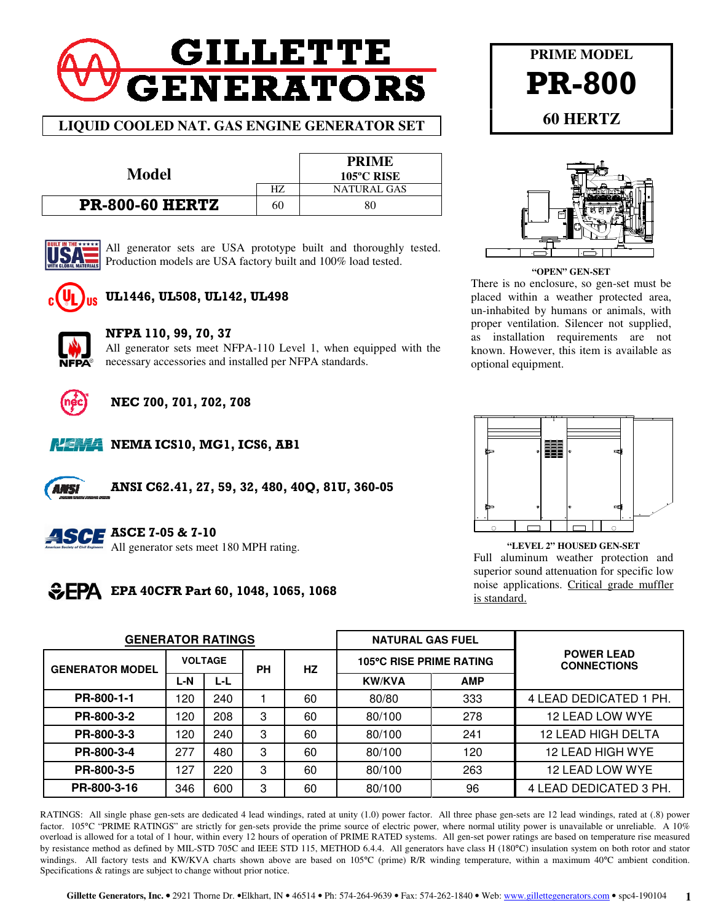# **GILLETTE GENERATORS**

## **LIQUID COOLED NAT. GAS ENGINE GENERATOR SET**

| Model                  |    | <b>PRIME</b><br>$105^{\circ}$ C RISE |
|------------------------|----|--------------------------------------|
|                        | HZ | NATURAL GAS                          |
| <b>PR-800-60 HERTZ</b> | 60 | 80                                   |



All generator sets are USA prototype built and thoroughly tested. Production models are USA factory built and 100% load tested.



# UL1446, UL508, UL142, UL498



## NFPA 110, 99, 70, 37

All generator sets meet NFPA-110 Level 1, when equipped with the necessary accessories and installed per NFPA standards.



# NEC 700, 701, 702, 708



NEMA ICS10, MG1, ICS6, AB1

ANSI C62.41, 27, 59, 32, 480, 40Q, 81U, 360-05



**ASCE ASCE 7-05 & 7-10** 

All generator sets meet 180 MPH rating.

# **EPA** EPA 40CFR Part 60, 1048, 1065, 1068



**PRIME MODEL** 

**"OPEN" GEN-SET**  There is no enclosure, so gen-set must be placed within a weather protected area, un-inhabited by humans or animals, with proper ventilation. Silencer not supplied, as installation requirements are not known. However, this item is available as optional equipment.



**"LEVEL 2" HOUSED GEN-SET**  Full aluminum weather protection and superior sound attenuation for specific low noise applications. Critical grade muffler is standard.

| <b>GENERATOR RATINGS</b> |                |     |           |           | <b>NATURAL GAS FUEL</b>        |            |                                         |  |  |
|--------------------------|----------------|-----|-----------|-----------|--------------------------------|------------|-----------------------------------------|--|--|
| <b>GENERATOR MODEL</b>   | <b>VOLTAGE</b> |     | <b>PH</b> | <b>HZ</b> | <b>105°C RISE PRIME RATING</b> |            | <b>POWER LEAD</b><br><b>CONNECTIONS</b> |  |  |
|                          | L-N            | L-L |           |           | <b>KW/KVA</b>                  | <b>AMP</b> |                                         |  |  |
| PR-800-1-1               | 120            | 240 |           | 60        | 80/80                          | 333        | 4 LEAD DEDICATED 1 PH.                  |  |  |
| PR-800-3-2               | 120            | 208 | 3         | 60        | 80/100                         | 278        | 12 LEAD LOW WYE                         |  |  |
| PR-800-3-3               | 120            | 240 | 3         | 60        | 80/100                         | 241        | 12 LEAD HIGH DELTA                      |  |  |
| PR-800-3-4               | 277            | 480 | 3         | 60        | 80/100                         | 120        | 12 LEAD HIGH WYE                        |  |  |
| PR-800-3-5               | 127            | 220 | 3         | 60        | 80/100                         | 263        | 12 LEAD LOW WYE                         |  |  |
| PR-800-3-16              | 346            | 600 | 3         | 60        | 80/100                         | 96         | 4 LEAD DEDICATED 3 PH.                  |  |  |

RATINGS: All single phase gen-sets are dedicated 4 lead windings, rated at unity (1.0) power factor. All three phase gen-sets are 12 lead windings, rated at (.8) power factor. 105°C "PRIME RATINGS" are strictly for gen-sets provide the prime source of electric power, where normal utility power is unavailable or unreliable. A 10% overload is allowed for a total of 1 hour, within every 12 hours of operation of PRIME RATED systems. All gen-set power ratings are based on temperature rise measured by resistance method as defined by MIL-STD 705C and IEEE STD 115, METHOD 6.4.4. All generators have class H (180°C) insulation system on both rotor and stator windings. All factory tests and KW/KVA charts shown above are based on 105°C (prime) R/R winding temperature, within a maximum 40°C ambient condition. Specifications & ratings are subject to change without prior notice.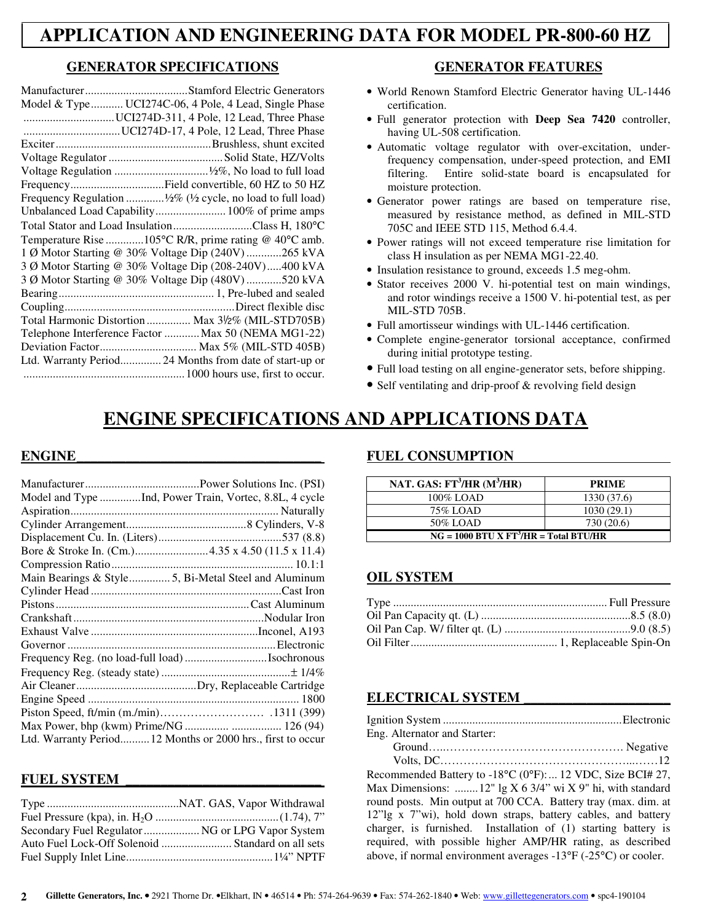# **APPLICATION AND ENGINEERING DATA FOR MODEL PR-800-60 HZ**

## **GENERATOR SPECIFICATIONS**

| Model & Type UCI274C-06, 4 Pole, 4 Lead, Single Phase        |
|--------------------------------------------------------------|
| UCI274D-311, 4 Pole, 12 Lead, Three Phase                    |
|                                                              |
|                                                              |
|                                                              |
|                                                              |
| FrequencyField convertible, 60 HZ to 50 HZ                   |
| Frequency Regulation  1/2% (1/2 cycle, no load to full load) |
| Unbalanced Load Capability 100% of prime amps                |
| Total Stator and Load InsulationClass H, 180°C               |
| Temperature Rise 105°C R/R, prime rating @ 40°C amb.         |
| 1 Ø Motor Starting @ 30% Voltage Dip (240V) 265 kVA          |
| 3 Ø Motor Starting @ 30% Voltage Dip (208-240V)400 kVA       |
| 3 Ø Motor Starting @ 30% Voltage Dip (480V)520 kVA           |
|                                                              |
|                                                              |
| Total Harmonic Distortion  Max 31/2% (MIL-STD705B)           |
| Telephone Interference Factor  Max 50 (NEMA MG1-22)          |
|                                                              |
| Ltd. Warranty Period 24 Months from date of start-up or      |
|                                                              |

## **GENERATOR FEATURES**

- World Renown Stamford Electric Generator having UL-1446 certification.
- Full generator protection with **Deep Sea 7420** controller, having UL-508 certification.
- Automatic voltage regulator with over-excitation, underfrequency compensation, under-speed protection, and EMI filtering. Entire solid-state board is encapsulated for moisture protection.
- Generator power ratings are based on temperature rise, measured by resistance method, as defined in MIL-STD 705C and IEEE STD 115, Method 6.4.4.
- Power ratings will not exceed temperature rise limitation for class H insulation as per NEMA MG1-22.40.
- Insulation resistance to ground, exceeds 1.5 meg-ohm.
- Stator receives 2000 V. hi-potential test on main windings, and rotor windings receive a 1500 V. hi-potential test, as per MIL-STD 705B.
- Full amortisseur windings with UL-1446 certification.
- Complete engine-generator torsional acceptance, confirmed during initial prototype testing.
- Full load testing on all engine-generator sets, before shipping.
- Self ventilating and drip-proof & revolving field design

# **ENGINE SPECIFICATIONS AND APPLICATIONS DATA**

## $ENGINE$

| Model and Type Ind, Power Train, Vortec, 8.8L, 4 cycle      |  |
|-------------------------------------------------------------|--|
|                                                             |  |
|                                                             |  |
|                                                             |  |
| Bore & Stroke In. (Cm.)4.35 x 4.50 (11.5 x 11.4)            |  |
|                                                             |  |
| Main Bearings & Style5, Bi-Metal Steel and Aluminum         |  |
|                                                             |  |
|                                                             |  |
|                                                             |  |
|                                                             |  |
|                                                             |  |
|                                                             |  |
|                                                             |  |
|                                                             |  |
|                                                             |  |
|                                                             |  |
|                                                             |  |
| Ltd. Warranty Period 12 Months or 2000 hrs., first to occur |  |

#### **FUEL SYSTEM \_\_\_\_\_\_\_\_\_\_\_\_\_\_\_\_\_\_\_\_\_\_\_\_\_\_\_\_**

| Secondary Fuel Regulator  NG or LPG Vapor System  |  |
|---------------------------------------------------|--|
| Auto Fuel Lock-Off Solenoid  Standard on all sets |  |
|                                                   |  |

#### **FUEL CONSUMPTION**

| NAT. GAS: $FT^3/HR$ (M $^3/HR$ )        | <b>PRIME</b> |  |
|-----------------------------------------|--------------|--|
| 100% LOAD                               | 1330 (37.6)  |  |
| 75% LOAD                                | 1030(29.1)   |  |
| 50% LOAD                                | 730 (20.6)   |  |
| $NG = 1000 BTU X FT3/HR = Total BTU/HR$ |              |  |

## **OIL SYSTEM**

## **ELECTRICAL SYSTEM \_\_\_\_\_\_\_\_\_\_\_\_\_\_\_\_\_\_\_\_\_**

| $\sim$ $\sim$ |  |  |  |  |
|---------------|--|--|--|--|

Eng. Alternator and Starter:

Recommended Battery to -18°C (0°F): ... 12 VDC, Size BCI# 27, Max Dimensions: ........ 12" lg X 6 3/4" wi X 9" hi, with standard round posts. Min output at 700 CCA. Battery tray (max. dim. at 12"lg x 7"wi), hold down straps, battery cables, and battery charger, is furnished. Installation of (1) starting battery is required, with possible higher AMP/HR rating, as described above, if normal environment averages -13°F (-25°C) or cooler.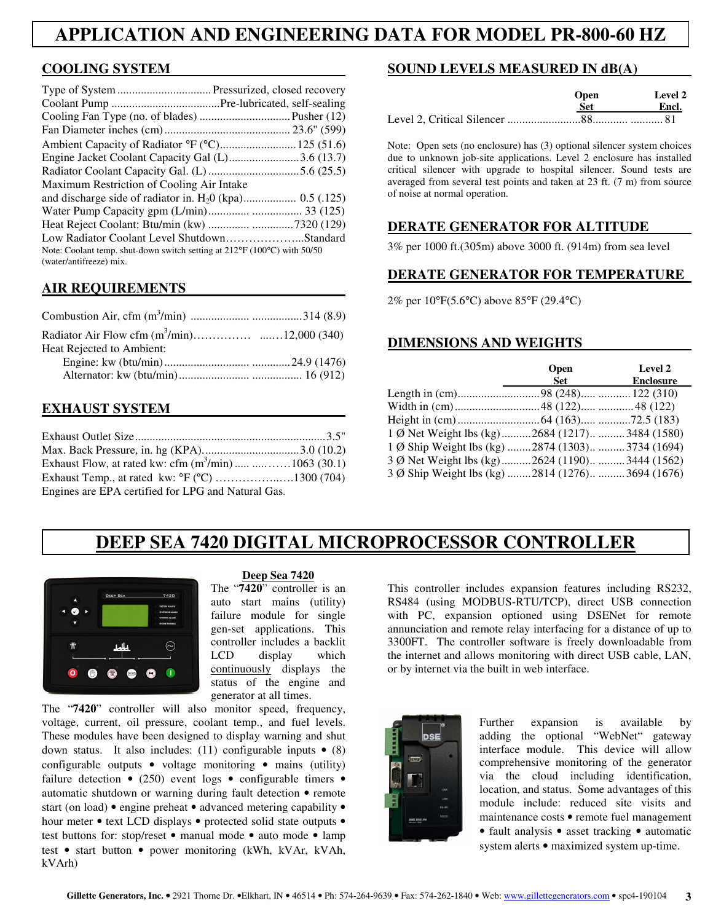# **APPLICATION AND ENGINEERING DATA FOR MODEL PR-800-60 HZ**

## **COOLING SYSTEM**

| Engine Jacket Coolant Capacity Gal (L)3.6 (13.7)                                                    |  |
|-----------------------------------------------------------------------------------------------------|--|
|                                                                                                     |  |
| Maximum Restriction of Cooling Air Intake                                                           |  |
|                                                                                                     |  |
|                                                                                                     |  |
|                                                                                                     |  |
| Low Radiator Coolant Level ShutdownStandard                                                         |  |
| Note: Coolant temp. shut-down switch setting at 212°F (100°C) with 50/50<br>(water/antifreeze) mix. |  |

## **AIR REQUIREMENTS**

| Heat Rejected to Ambient: |  |
|---------------------------|--|
|                           |  |
|                           |  |

## **EXHAUST SYSTEM**

| Exhaust Flow, at rated kw: cfm $(m^3/min)$ 1063 (30.1) |  |
|--------------------------------------------------------|--|
|                                                        |  |
| Engines are EPA certified for LPG and Natural Gas.     |  |

#### **SOUND LEVELS MEASURED IN dB(A)**

|  | <b>Open</b><br>Set. | Level 2<br>Encl. |
|--|---------------------|------------------|
|  |                     |                  |
|  |                     |                  |

Note: Open sets (no enclosure) has (3) optional silencer system choices due to unknown job-site applications. Level 2 enclosure has installed critical silencer with upgrade to hospital silencer. Sound tests are averaged from several test points and taken at 23 ft. (7 m) from source of noise at normal operation.

#### **DERATE GENERATOR FOR ALTITUDE**

3% per 1000 ft.(305m) above 3000 ft. (914m) from sea level

#### **DERATE GENERATOR FOR TEMPERATURE**

2% per 10°F(5.6°C) above 85°F (29.4°C)

## **DIMENSIONS AND WEIGHTS**

|                                                    | <b>Open</b><br>Set | Level 2<br><b>Enclosure</b> |
|----------------------------------------------------|--------------------|-----------------------------|
|                                                    |                    |                             |
|                                                    |                    |                             |
|                                                    |                    |                             |
| 1 Ø Net Weight lbs (kg)2684 (1217)3484 (1580)      |                    |                             |
| 1 Ø Ship Weight lbs (kg)  2874 (1303)  3734 (1694) |                    |                             |
| 3 Ø Net Weight lbs (kg) 2624 (1190) 3444 (1562)    |                    |                             |
| 3 Ø Ship Weight lbs (kg) 2814 (1276)3694 (1676)    |                    |                             |

# **DEEP SEA 7420 DIGITAL MICROPROCESSOR CONTROLLER**



#### **Deep Sea 7420**

The "**7420**" controller is an auto start mains (utility) failure module for single gen-set applications. This controller includes a backlit LCD display which continuously displays the status of the engine and generator at all times.

The "**7420**" controller will also monitor speed, frequency, voltage, current, oil pressure, coolant temp., and fuel levels. These modules have been designed to display warning and shut down status. It also includes: (11) configurable inputs  $\bullet$  (8) configurable outputs • voltage monitoring • mains (utility) failure detection  $\bullet$  (250) event logs  $\bullet$  configurable timers  $\bullet$ automatic shutdown or warning during fault detection • remote start (on load) • engine preheat • advanced metering capability • hour meter • text LCD displays • protected solid state outputs • test buttons for: stop/reset • manual mode • auto mode • lamp test • start button • power monitoring (kWh, kVAr, kVAh, kVArh)

This controller includes expansion features including RS232, RS484 (using MODBUS-RTU/TCP), direct USB connection with PC, expansion optioned using DSENet for remote annunciation and remote relay interfacing for a distance of up to 3300FT. The controller software is freely downloadable from the internet and allows monitoring with direct USB cable, LAN, or by internet via the built in web interface.



Further expansion is available by adding the optional "WebNet" gateway interface module. This device will allow comprehensive monitoring of the generator via the cloud including identification, location, and status. Some advantages of this module include: reduced site visits and maintenance costs • remote fuel management • fault analysis • asset tracking • automatic system alerts • maximized system up-time.